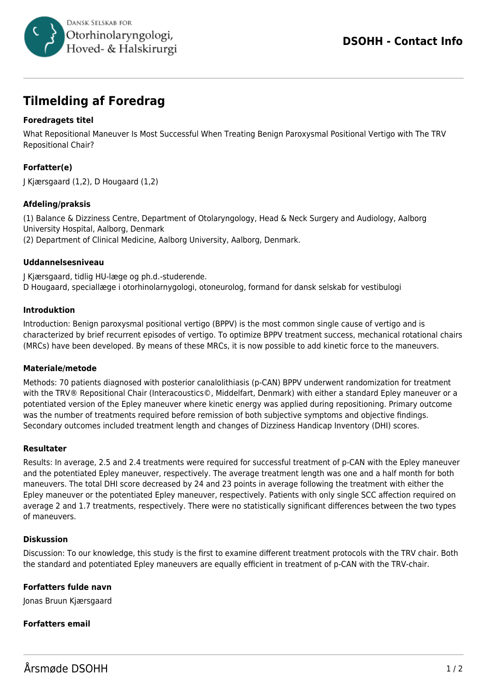

# **Tilmelding af Foredrag**

# **Foredragets titel**

What Repositional Maneuver Is Most Successful When Treating Benign Paroxysmal Positional Vertigo with The TRV Repositional Chair?

# **Forfatter(e)**

J Kjærsgaard (1,2), D Hougaard (1,2)

## **Afdeling/praksis**

(1) Balance & Dizziness Centre, Department of Otolaryngology, Head & Neck Surgery and Audiology, Aalborg University Hospital, Aalborg, Denmark (2) Department of Clinical Medicine, Aalborg University, Aalborg, Denmark.

### **Uddannelsesniveau**

J Kjærsgaard, tidlig HU-læge og ph.d.-studerende. D Hougaard, speciallæge i otorhinolarnygologi, otoneurolog, formand for dansk selskab for vestibulogi

### **Introduktion**

Introduction: Benign paroxysmal positional vertigo (BPPV) is the most common single cause of vertigo and is characterized by brief recurrent episodes of vertigo. To optimize BPPV treatment success, mechanical rotational chairs (MRCs) have been developed. By means of these MRCs, it is now possible to add kinetic force to the maneuvers.

#### **Materiale/metode**

Methods: 70 patients diagnosed with posterior canalolithiasis (p-CAN) BPPV underwent randomization for treatment with the TRV® Repositional Chair (Interacoustics©, Middelfart, Denmark) with either a standard Epley maneuver or a potentiated version of the Epley maneuver where kinetic energy was applied during repositioning. Primary outcome was the number of treatments required before remission of both subjective symptoms and objective findings. Secondary outcomes included treatment length and changes of Dizziness Handicap Inventory (DHI) scores.

#### **Resultater**

Results: In average, 2.5 and 2.4 treatments were required for successful treatment of p-CAN with the Epley maneuver and the potentiated Epley maneuver, respectively. The average treatment length was one and a half month for both maneuvers. The total DHI score decreased by 24 and 23 points in average following the treatment with either the Epley maneuver or the potentiated Epley maneuver, respectively. Patients with only single SCC affection required on average 2 and 1.7 treatments, respectively. There were no statistically significant differences between the two types of maneuvers.

## **Diskussion**

Discussion: To our knowledge, this study is the first to examine different treatment protocols with the TRV chair. Both the standard and potentiated Epley maneuvers are equally efficient in treatment of p-CAN with the TRV-chair.

## **Forfatters fulde navn**

Jonas Bruun Kjærsgaard

## **Forfatters email**